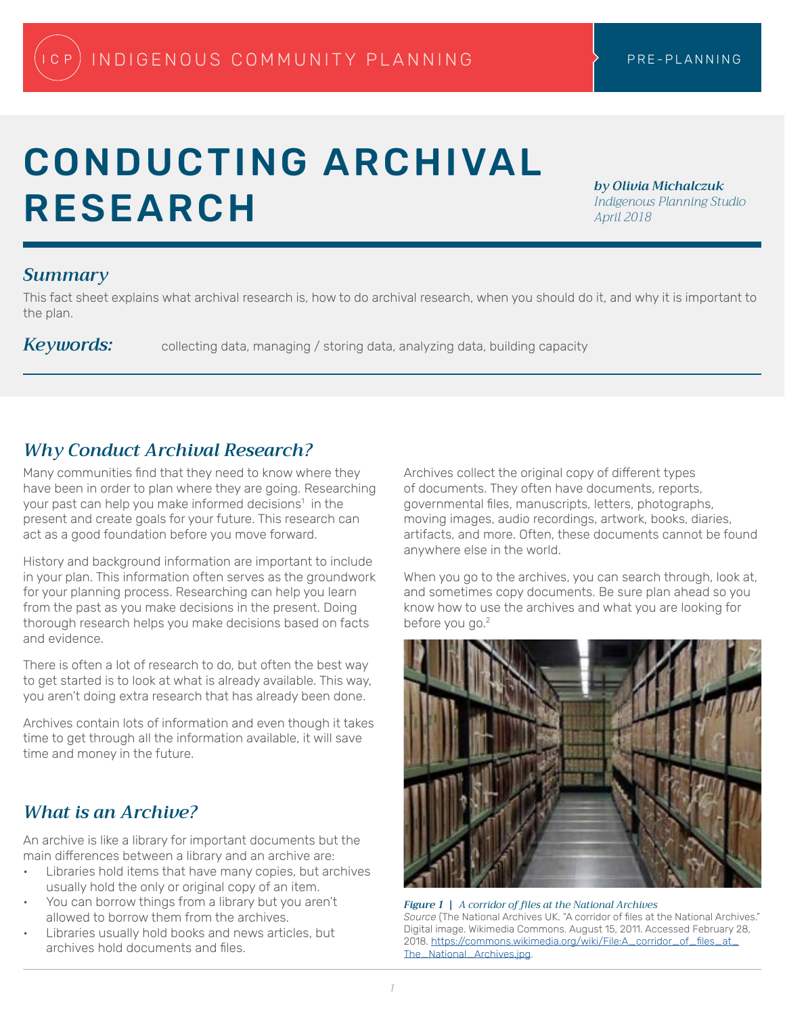# CONDUCTING ARCHIVAL RESEARCH

*by Olivia Michalczuk Indigenous Planning Studio April 2018*

#### *Summary*

This fact sheet explains what archival research is, how to do archival research, when you should do it, and why it is important to the plan.

Keywords: collecting data, managing / storing data, analyzing data, building capacity

## *Why Conduct Archival Research?*

Many communities find that they need to know where they have been in order to plan where they are going. Researching your past can help you make informed decisions<sup>1</sup> in the present and create goals for your future. This research can act as a good foundation before you move forward.

History and background information are important to include in your plan. This information often serves as the groundwork for your planning process. Researching can help you learn from the past as you make decisions in the present. Doing thorough research helps you make decisions based on facts and evidence.

There is often a lot of research to do, but often the best way to get started is to look at what is already available. This way, you aren't doing extra research that has already been done.

Archives contain lots of information and even though it takes time to get through all the information available, it will save time and money in the future.

#### *What is an Archive?*

An archive is like a library for important documents but the main differences between a library and an archive are:

- Libraries hold items that have many copies, but archives usually hold the only or original copy of an item.
- You can borrow things from a library but you aren't allowed to borrow them from the archives.
- Libraries usually hold books and news articles, but archives hold documents and files.

Archives collect the original copy of different types of documents. They often have documents, reports, governmental files, manuscripts, letters, photographs, moving images, audio recordings, artwork, books, diaries, artifacts, and more. Often, these documents cannot be found anywhere else in the world.

When you go to the archives, you can search through, look at, and sometimes copy documents. Be sure plan ahead so you know how to use the archives and what you are looking for before you go.<sup>2</sup>



*Figure 1 | A corridor of files at the National Archives Source* (The National Archives UK. "A corridor of files at the National Archives." Digital image. Wikimedia Commons. August 15, 2011. Accessed February 28, 2018. [https://commons.wikimedia.org/wiki/File:A\\_corridor\\_of\\_files\\_at\\_](https://commons.wikimedia.org/wiki/File:A_corridor_of_files_at_The_National_Archives.jpg) [The\\_National\\_Archives.jpg](https://commons.wikimedia.org/wiki/File:A_corridor_of_files_at_The_National_Archives.jpg).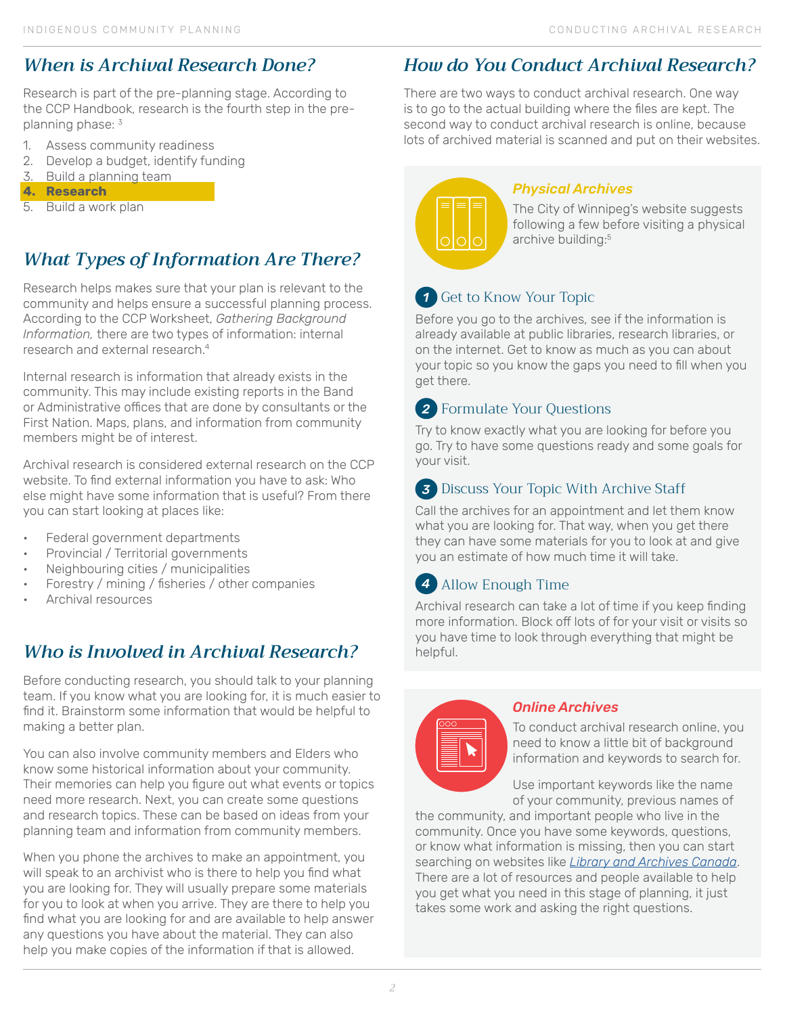## *When is Archival Research Done?*

Research is part of the pre-planning stage. According to the CCP Handbook, research is the fourth step in the preplanning phase: 3

- 1. Assess community readiness
- 2. Develop a budget, identify funding
- 3. Build a planning team
- **4. Research**
- 5. Build a work plan

## *What Types of Information Are There?*

Research helps makes sure that your plan is relevant to the community and helps ensure a successful planning process. According to the CCP Worksheet, *Gathering Background Information,* there are two types of information: internal research and external research<sup>4</sup>

Internal research is information that already exists in the community. This may include existing reports in the Band or Administrative offices that are done by consultants or the First Nation. Maps, plans, and information from community members might be of interest.

Archival research is considered external research on the CCP website. To find external information you have to ask: Who else might have some information that is useful? From there you can start looking at places like:

- Federal government departments
- Provincial / Territorial governments
- Neighbouring cities / municipalities
- Forestry / mining / fisheries / other companies
- Archival resources

#### *Who is Involved in Archival Research?*

Before conducting research, you should talk to your planning team. If you know what you are looking for, it is much easier to find it. Brainstorm some information that would be helpful to making a better plan.

You can also involve community members and Elders who know some historical information about your community. Their memories can help you figure out what events or topics need more research. Next, you can create some questions and research topics. These can be based on ideas from your planning team and information from community members.

When you phone the archives to make an appointment, you will speak to an archivist who is there to help you find what you are looking for. They will usually prepare some materials for you to look at when you arrive. They are there to help you find what you are looking for and are available to help answer any questions you have about the material. They can also help you make copies of the information if that is allowed.

## *How do You Conduct Archival Research?*

There are two ways to conduct archival research. One way is to go to the actual building where the files are kept. The second way to conduct archival research is online, because lots of archived material is scanned and put on their websites.



#### *Physical Archives*

The City of Winnipeg's website suggests following a few before visiting a physical archive building:<sup>5</sup>

#### *1* Get to Know Your Topic

Before you go to the archives, see if the information is already available at public libraries, research libraries, or on the internet. Get to know as much as you can about your topic so you know the gaps you need to fill when you get there.

#### *2* Formulate Your Questions

Try to know exactly what you are looking for before you go. Try to have some questions ready and some goals for your visit.

#### *3* Discuss Your Topic With Archive Staff

Call the archives for an appointment and let them know what you are looking for. That way, when you get there they can have some materials for you to look at and give you an estimate of how much time it will take.

#### *4* Allow Enough Time

Archival research can take a lot of time if you keep finding more information. Block off lots of for your visit or visits so you have time to look through everything that might be helpful.

| 000<br>______                                                                                                                                       |  |
|-----------------------------------------------------------------------------------------------------------------------------------------------------|--|
| _____<br>___<br>and the state of the state of the state of the state of the state of the state of the state of the state of th<br>____<br>__<br>___ |  |
| ___<br>__<br>_____<br>__<br>____                                                                                                                    |  |
|                                                                                                                                                     |  |
|                                                                                                                                                     |  |

#### *Online Archives*

To conduct archival research online, you need to know a little bit of background information and keywords to search for.

Use important keywords like the name of your community, previous names of

the community, and important people who live in the community. Once you have some keywords, questions, or know what information is missing, then you can start searching on websites like *[Library and Archives Canada](http://www.bac-lac.gc.ca/eng/Pages/home.aspx)*. There are a lot of resources and people available to help you get what you need in this stage of planning, it just takes some work and asking the right questions.